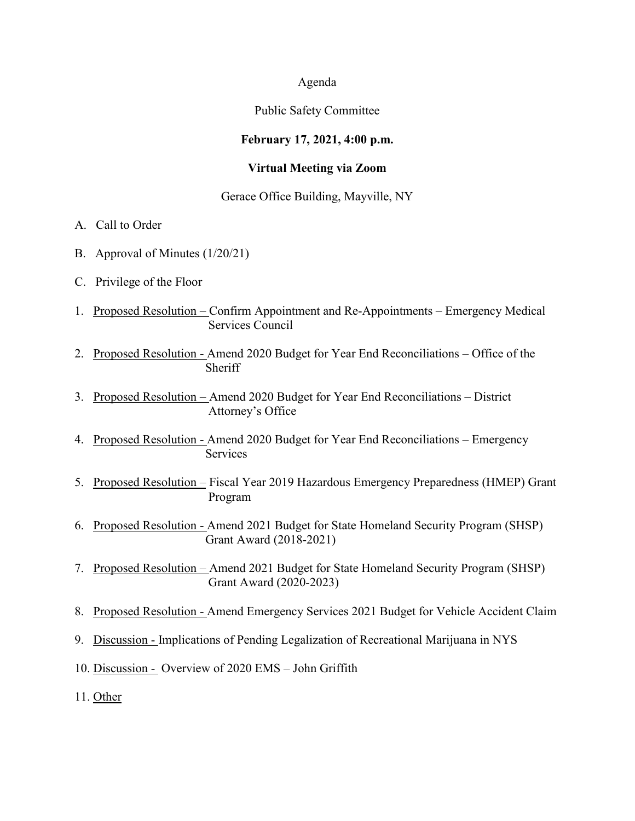#### Agenda

### Public Safety Committee

## **February 17, 2021, 4:00 p.m.**

#### **Virtual Meeting via Zoom**

#### Gerace Office Building, Mayville, NY

- A. Call to Order
- B. Approval of Minutes (1/20/21)
- C. Privilege of the Floor
- 1. Proposed Resolution Confirm Appointment and Re-Appointments Emergency Medical Services Council
- 2. Proposed Resolution Amend 2020 Budget for Year End Reconciliations Office of the **Sheriff**
- 3. Proposed Resolution Amend 2020 Budget for Year End Reconciliations District Attorney's Office
- 4. Proposed Resolution Amend 2020 Budget for Year End Reconciliations Emergency Services
- 5. Proposed Resolution Fiscal Year 2019 Hazardous Emergency Preparedness (HMEP) Grant Program
- 6. Proposed Resolution Amend 2021 Budget for State Homeland Security Program (SHSP) Grant Award (2018-2021)
- 7. Proposed Resolution Amend 2021 Budget for State Homeland Security Program (SHSP) Grant Award (2020-2023)
- 8. Proposed Resolution Amend Emergency Services 2021 Budget for Vehicle Accident Claim
- 9. Discussion Implications of Pending Legalization of Recreational Marijuana in NYS
- 10. Discussion Overview of 2020 EMS John Griffith
- 11. Other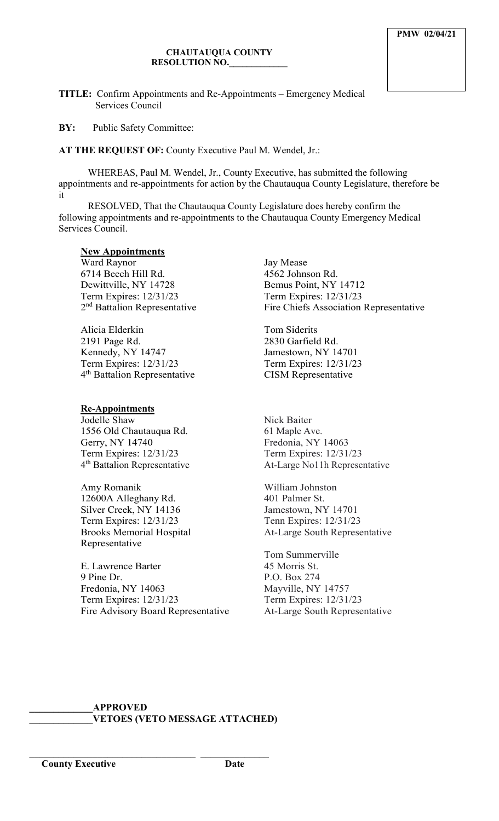**TITLE:** Confirm Appointments and Re-Appointments – Emergency Medical Services Council

**BY:** Public Safety Committee:

**AT THE REQUEST OF:** County Executive Paul M. Wendel, Jr.:

WHEREAS, Paul M. Wendel, Jr., County Executive, has submitted the following appointments and re-appointments for action by the Chautauqua County Legislature, therefore be it

RESOLVED, That the Chautauqua County Legislature does hereby confirm the following appointments and re-appointments to the Chautauqua County Emergency Medical Services Council.

#### **New Appointments**

Ward Raynor 6714 Beech Hill Rd. Dewittville, NY 14728 Term Expires: 12/31/23 2<sup>nd</sup> Battalion Representative

Alicia Elderkin 2191 Page Rd. Kennedy, NY 14747 Term Expires: 12/31/23 4th Battalion Representative

#### **Re-Appointments**

Jodelle Shaw 1556 Old Chautauqua Rd. Gerry, NY 14740 Term Expires: 12/31/23 4th Battalion Representative

Amy Romanik 12600A Alleghany Rd. Silver Creek, NY 14136 Term Expires: 12/31/23 Brooks Memorial Hospital Representative

E. Lawrence Barter 9 Pine Dr. Fredonia, NY 14063 Term Expires: 12/31/23 Fire Advisory Board Representative

\_\_\_\_\_\_\_\_\_\_\_\_\_\_\_\_\_\_\_\_\_\_\_\_\_\_\_\_\_\_\_\_\_\_ \_\_\_\_\_\_\_\_\_\_\_\_\_\_

Jay Mease 4562 Johnson Rd. Bemus Point, NY 14712 Term Expires: 12/31/23 Fire Chiefs Association Representative

Tom Siderits 2830 Garfield Rd. Jamestown, NY 14701 Term Expires: 12/31/23 CISM Representative

Nick Baiter 61 Maple Ave. Fredonia, NY 14063 Term Expires: 12/31/23 At-Large No11h Representative

William Johnston 401 Palmer St. Jamestown, NY 14701 Tenn Expires: 12/31/23 At-Large South Representative

Tom Summerville 45 Morris St. P.O. Box 274 Mayville, NY 14757 Term Expires: 12/31/23 At-Large South Representative

#### **\_\_\_\_\_\_\_\_\_\_\_\_\_APPROVED \_\_\_\_\_\_\_\_\_\_\_\_\_VETOES (VETO MESSAGE ATTACHED)**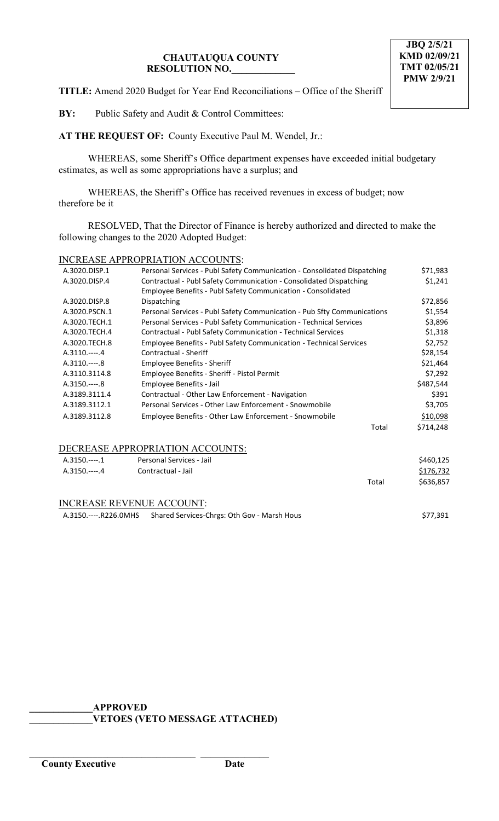**TITLE:** Amend 2020 Budget for Year End Reconciliations – Office of the Sheriff

**BY:** Public Safety and Audit & Control Committees:

**AT THE REQUEST OF:** County Executive Paul M. Wendel, Jr.:

WHEREAS, some Sheriff's Office department expenses have exceeded initial budgetary estimates, as well as some appropriations have a surplus; and

WHEREAS, the Sheriff's Office has received revenues in excess of budget; now therefore be it

RESOLVED, That the Director of Finance is hereby authorized and directed to make the following changes to the 2020 Adopted Budget:

### INCREASE APPROPRIATION ACCOUNTS:

| \$71,983  |
|-----------|
| \$1,241   |
|           |
| \$72,856  |
| \$1,554   |
| \$3,896   |
| \$1,318   |
| \$2,752   |
| \$28,154  |
| \$21,464  |
| \$7,292   |
| \$487,544 |
| \$391     |
| \$3,705   |
| \$10,098  |
| \$714,248 |
|           |
| \$460,125 |
| \$176,732 |
| \$636,857 |
|           |
| \$77,391  |
|           |

**\_\_\_\_\_\_\_\_\_\_\_\_\_APPROVED**

\_\_\_\_\_\_\_\_\_\_\_\_\_\_\_\_\_\_\_\_\_\_\_\_\_\_\_\_\_\_\_\_\_\_ \_\_\_\_\_\_\_\_\_\_\_\_\_\_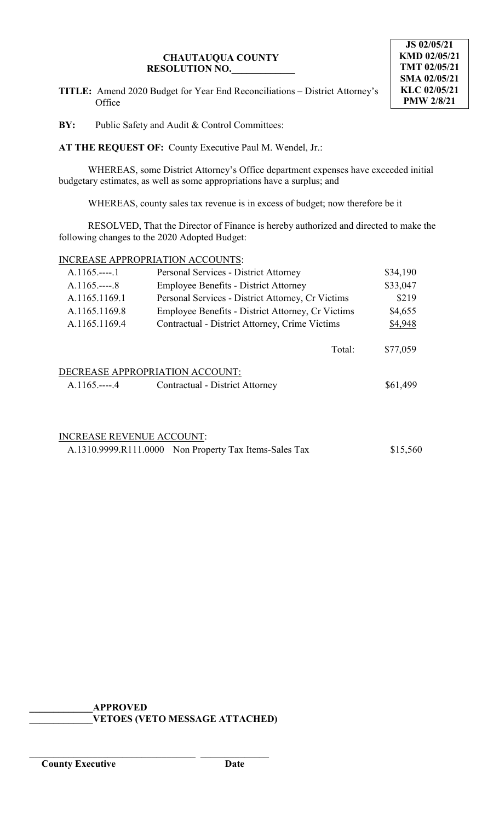**JS 02/05/21 KMD 02/05/21 TMT 02/05/21 SMA 02/05/21 KLC 02/05/21 PMW 2/8/21**

**TITLE:** Amend 2020 Budget for Year End Reconciliations – District Attorney's Office

**BY:** Public Safety and Audit & Control Committees:

**AT THE REQUEST OF:** County Executive Paul M. Wendel, Jr.:

WHEREAS, some District Attorney's Office department expenses have exceeded initial budgetary estimates, as well as some appropriations have a surplus; and

WHEREAS, county sales tax revenue is in excess of budget; now therefore be it

RESOLVED, That the Director of Finance is hereby authorized and directed to make the following changes to the 2020 Adopted Budget:

### INCREASE APPROPRIATION ACCOUNTS:

| $A.1165.---1$ | Personal Services - District Attorney             | \$34,190 |
|---------------|---------------------------------------------------|----------|
| $A.1165.---8$ | <b>Employee Benefits - District Attorney</b>      | \$33,047 |
| A.1165.1169.1 | Personal Services - District Attorney, Cr Victims | \$219    |
| A.1165.1169.8 | Employee Benefits - District Attorney, Cr Victims | \$4,655  |
| A.1165.1169.4 | Contractual - District Attorney, Crime Victims    | \$4,948  |
|               | Total:                                            | \$77,059 |
|               | DECREASE APPROPRIATION ACCOUNT:                   |          |

| Contractual - District Attorney<br>A.1165.----.4 |
|--------------------------------------------------|

INCREASE REVENUE ACCOUNT:

A.1310.9999.R111.0000 Non Property Tax Items-Sales Tax \$15,560

**\_\_\_\_\_\_\_\_\_\_\_\_\_APPROVED**

\_\_\_\_\_\_\_\_\_\_\_\_\_\_\_\_\_\_\_\_\_\_\_\_\_\_\_\_\_\_\_\_\_\_ \_\_\_\_\_\_\_\_\_\_\_\_\_\_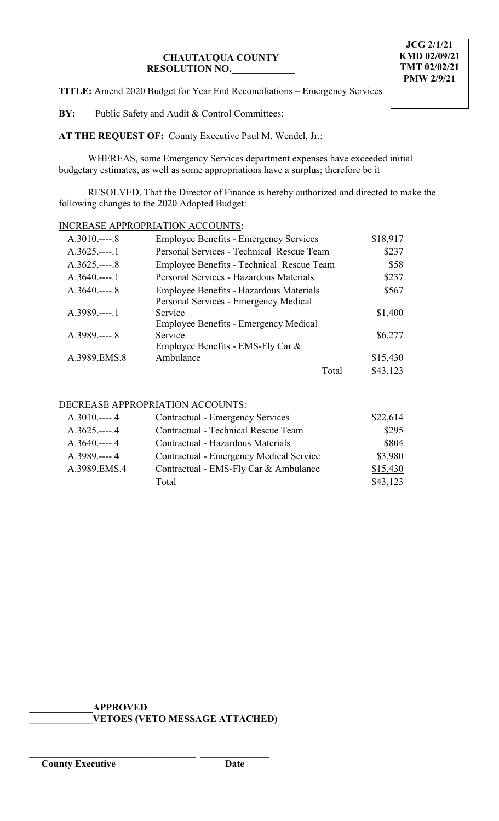**TITLE:** Amend 2020 Budget for Year End Reconciliations – Emergency Services

**BY:** Public Safety and Audit & Control Committees:

**AT THE REQUEST OF:** County Executive Paul M. Wendel, Jr.:

WHEREAS, some Emergency Services department expenses have exceeded initial budgetary estimates, as well as some appropriations have a surplus; therefore be it

RESOLVED, That the Director of Finance is hereby authorized and directed to make the following changes to the 2020 Adopted Budget:

### INCREASE APPROPRIATION ACCOUNTS:

| $A.3010$ 8    | <b>Employee Benefits - Emergency Services</b>                                    | \$18,917 |
|---------------|----------------------------------------------------------------------------------|----------|
| $A.3625.---1$ | Personal Services - Technical Rescue Team                                        | \$237    |
| $A.3625.---8$ | Employee Benefits - Technical Rescue Team                                        | \$58     |
| $A.3640$ 1    | Personal Services - Hazardous Materials                                          | \$237    |
| $A.3640$ 8    | Employee Benefits - Hazardous Materials<br>Personal Services - Emergency Medical | \$567    |
| $A.3989.---1$ | Service<br>Employee Benefits - Emergency Medical                                 | \$1,400  |
| $A.3989$ 8    | Service<br>Employee Benefits - EMS-Fly Car &                                     | \$6,277  |
| A.3989.EMS.8  | Ambulance                                                                        | \$15,430 |
|               | Total                                                                            | \$43,123 |

### DECREASE APPROPRIATION ACCOUNTS:

| $A.3010$ 4       | Contractual - Emergency Services        | \$22,614 |
|------------------|-----------------------------------------|----------|
| $A.3625$ .----.4 | Contractual - Technical Rescue Team     | \$295    |
| $A.3640$ 4       | Contractual - Hazardous Materials       | \$804    |
| $A.3989 - .4$    | Contractual - Emergency Medical Service | \$3,980  |
| A.3989.EMS.4     | Contractual - EMS-Fly Car & Ambulance   | \$15,430 |
|                  | Total                                   | \$43,123 |

**\_\_\_\_\_\_\_\_\_\_\_\_\_APPROVED**

\_\_\_\_\_\_\_\_\_\_\_\_\_\_\_\_\_\_\_\_\_\_\_\_\_\_\_\_\_\_\_\_\_\_ \_\_\_\_\_\_\_\_\_\_\_\_\_\_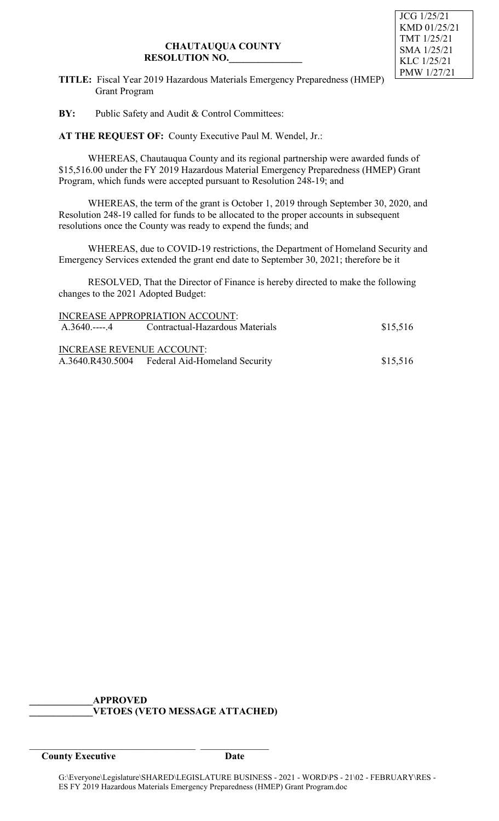

**TITLE:** Fiscal Year 2019 Hazardous Materials Emergency Preparedness (HMEP) Grant Program

**BY:** Public Safety and Audit & Control Committees:

**AT THE REQUEST OF:** County Executive Paul M. Wendel, Jr.:

WHEREAS, Chautauqua County and its regional partnership were awarded funds of \$15,516.00 under the FY 2019 Hazardous Material Emergency Preparedness (HMEP) Grant Program, which funds were accepted pursuant to Resolution 248-19; and

WHEREAS, the term of the grant is October 1, 2019 through September 30, 2020, and Resolution 248-19 called for funds to be allocated to the proper accounts in subsequent resolutions once the County was ready to expend the funds; and

WHEREAS, due to COVID-19 restrictions, the Department of Homeland Security and Emergency Services extended the grant end date to September 30, 2021; therefore be it

RESOLVED, That the Director of Finance is hereby directed to make the following changes to the 2021 Adopted Budget:

|                                  | <b>INCREASE APPROPRIATION ACCOUNT:</b>         |          |
|----------------------------------|------------------------------------------------|----------|
|                                  | A.3640.----.4 Contractual-Hazardous Materials  | \$15,516 |
|                                  |                                                |          |
| <b>INCREASE REVENUE ACCOUNT:</b> |                                                |          |
|                                  | A.3640.R430.5004 Federal Aid-Homeland Security | \$15,516 |
|                                  |                                                |          |

### **\_\_\_\_\_\_\_\_\_\_\_\_\_APPROVED \_\_\_\_\_\_\_\_\_\_\_\_\_VETOES (VETO MESSAGE ATTACHED)**

#### **County Executive Date**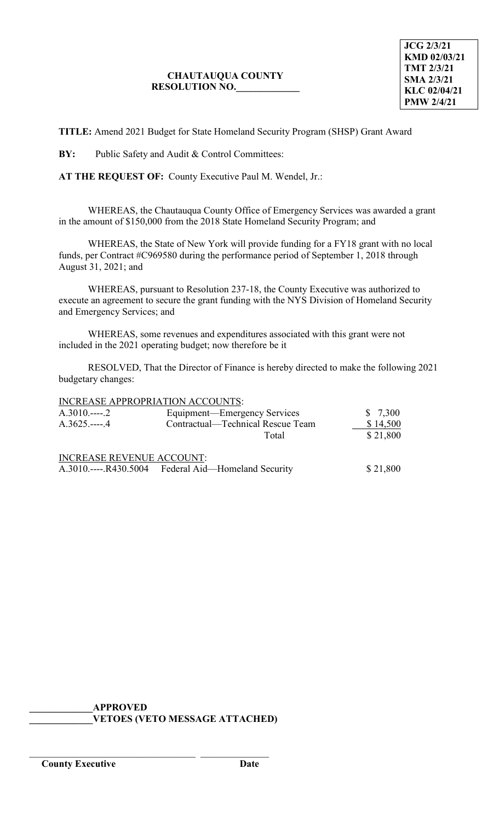**TITLE:** Amend 2021 Budget for State Homeland Security Program (SHSP) Grant Award

**BY:** Public Safety and Audit & Control Committees:

**AT THE REQUEST OF:** County Executive Paul M. Wendel, Jr.:

WHEREAS, the Chautauqua County Office of Emergency Services was awarded a grant in the amount of \$150,000 from the 2018 State Homeland Security Program; and

WHEREAS, the State of New York will provide funding for a FY18 grant with no local funds, per Contract #C969580 during the performance period of September 1, 2018 through August 31, 2021; and

WHEREAS, pursuant to Resolution 237-18, the County Executive was authorized to execute an agreement to secure the grant funding with the NYS Division of Homeland Security and Emergency Services; and

WHEREAS, some revenues and expenditures associated with this grant were not included in the 2021 operating budget; now therefore be it

RESOLVED, That the Director of Finance is hereby directed to make the following 2021 budgetary changes:

INCREASE APPROPRIATION ACCOUNTS:

| $A.3010$ 2                       | Equipment—Emergency Services                        | \$7,300  |
|----------------------------------|-----------------------------------------------------|----------|
| $A.3625$ 4                       | Contractual—Technical Rescue Team                   | \$14,500 |
|                                  | Total                                               | \$21,800 |
| <b>INCREASE REVENUE ACCOUNT:</b> |                                                     |          |
|                                  | A.3010.----.R430.5004 Federal Aid—Homeland Security | \$21,800 |

**\_\_\_\_\_\_\_\_\_\_\_\_\_APPROVED**

\_\_\_\_\_\_\_\_\_\_\_\_\_\_\_\_\_\_\_\_\_\_\_\_\_\_\_\_\_\_\_\_\_\_ \_\_\_\_\_\_\_\_\_\_\_\_\_\_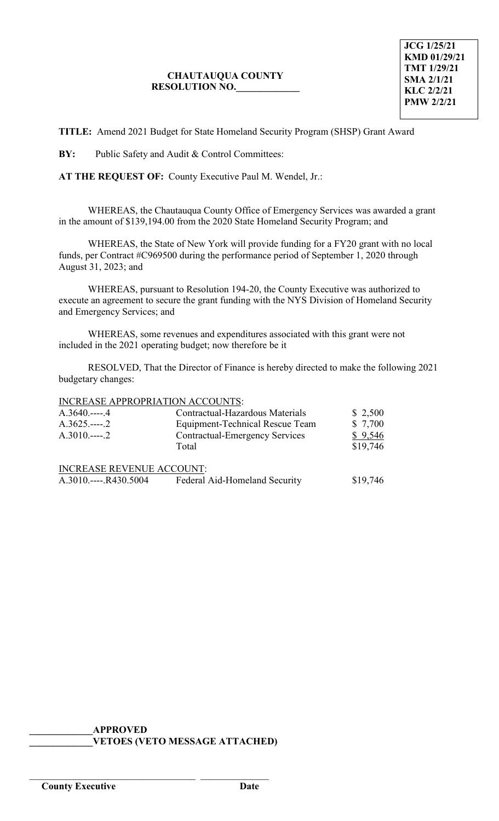**JCG 1/25/21 KMD 01/29/21 TMT 1/29/21 SMA 2/1/21 KLC 2/2/21 PMW 2/2/21**

**TITLE:** Amend 2021 Budget for State Homeland Security Program (SHSP) Grant Award

**BY:** Public Safety and Audit & Control Committees:

**AT THE REQUEST OF:** County Executive Paul M. Wendel, Jr.:

WHEREAS, the Chautauqua County Office of Emergency Services was awarded a grant in the amount of \$139,194.00 from the 2020 State Homeland Security Program; and

WHEREAS, the State of New York will provide funding for a FY20 grant with no local funds, per Contract #C969500 during the performance period of September 1, 2020 through August 31, 2023; and

WHEREAS, pursuant to Resolution 194-20, the County Executive was authorized to execute an agreement to secure the grant funding with the NYS Division of Homeland Security and Emergency Services; and

WHEREAS, some revenues and expenditures associated with this grant were not included in the 2021 operating budget; now therefore be it

RESOLVED, That the Director of Finance is hereby directed to make the following 2021 budgetary changes:

INCREASE APPROPRIATION ACCOUNTS:

| $A.3640$ 4                       | Contractual-Hazardous Materials       | \$2,500  |
|----------------------------------|---------------------------------------|----------|
| $A.3625$ 2                       | Equipment-Technical Rescue Team       | \$ 7,700 |
| $A.3010$ 2                       | <b>Contractual-Emergency Services</b> | \$9,546  |
|                                  | Total                                 | \$19,746 |
| <b>INCREASE REVENUE ACCOUNT:</b> |                                       |          |
| $A.3010$ R430.5004               | Federal Aid-Homeland Security         | \$19,746 |

### **\_\_\_\_\_\_\_\_\_\_\_\_\_APPROVED \_\_\_\_\_\_\_\_\_\_\_\_\_VETOES (VETO MESSAGE ATTACHED)**